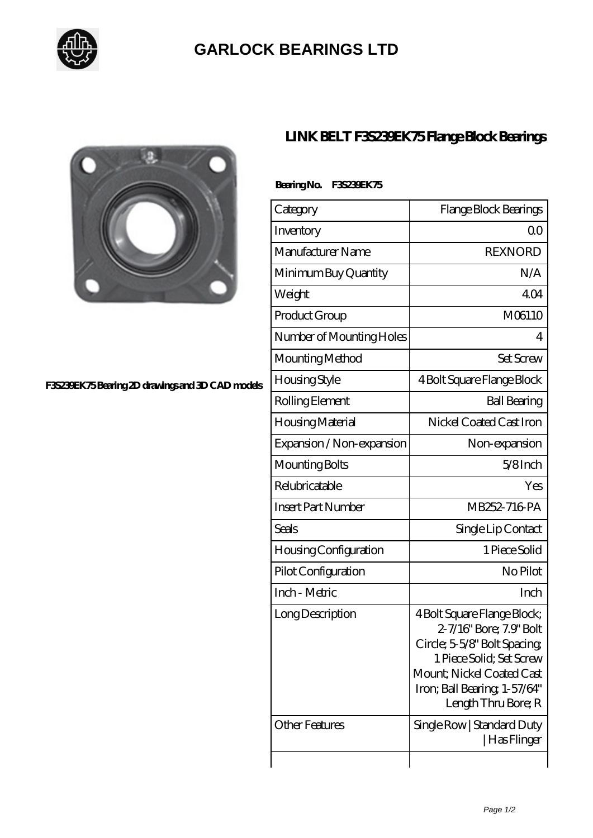

## **[GARLOCK BEARINGS LTD](https://m.letterstopriests.com)**



#### **[F3S239EK75 Bearing 2D drawings and 3D CAD models](https://m.letterstopriests.com/pic-188730.html)**

## **[LINK BELT F3S239EK75 Flange Block Bearings](https://m.letterstopriests.com/bs-188730-link-belt-f3s239ek75-flange-block-bearings.html)**

### **Bearing No. F3S239EK75**

| Category                  | Flange Block Bearings                                                                                                                                                                                  |
|---------------------------|--------------------------------------------------------------------------------------------------------------------------------------------------------------------------------------------------------|
| Inventory                 | Q0                                                                                                                                                                                                     |
| Manufacturer Name         | <b>REXNORD</b>                                                                                                                                                                                         |
| Minimum Buy Quantity      | N/A                                                                                                                                                                                                    |
| Weight                    | 404                                                                                                                                                                                                    |
| Product Group             | M06110                                                                                                                                                                                                 |
| Number of Mounting Holes  | 4                                                                                                                                                                                                      |
| Mounting Method           | <b>Set Screw</b>                                                                                                                                                                                       |
| <b>Housing Style</b>      | 4 Bolt Square Flange Block                                                                                                                                                                             |
| Rolling Element           | <b>Ball Bearing</b>                                                                                                                                                                                    |
| Housing Material          | Nickel Coated Cast Iron                                                                                                                                                                                |
| Expansion / Non-expansion | Non-expansion                                                                                                                                                                                          |
| Mounting Bolts            | $5/8$ Inch                                                                                                                                                                                             |
| Relubricatable            | Yes                                                                                                                                                                                                    |
| <b>Insert Part Number</b> | MB252-716 PA                                                                                                                                                                                           |
| Seals                     | Single Lip Contact                                                                                                                                                                                     |
| Housing Configuration     | 1 Piece Solid                                                                                                                                                                                          |
| Pilot Configuration       | No Pilot                                                                                                                                                                                               |
| Inch - Metric             | Inch                                                                                                                                                                                                   |
| Long Description          | 4 Bolt Square Flange Block;<br>2-7/16" Bore; 7.9" Bolt<br>Circle; 5-5/8" Bolt Spacing;<br>1 Piece Solid; Set Screw<br>Mount; Nickel Coated Cast<br>Iron; Ball Bearing, 1-57/64"<br>Length Thru Bore; R |
| <b>Other Features</b>     | Single Row   Standard Duty<br>  Has Flinger                                                                                                                                                            |
|                           |                                                                                                                                                                                                        |